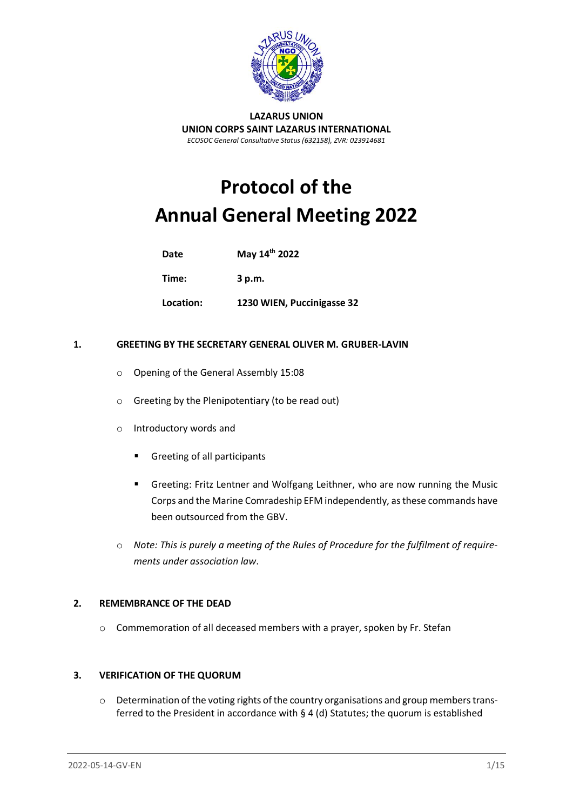

#### **LAZARUS UNION UNION CORPS SAINT LAZARUS INTERNATIONAL** *ECOSOC General Consultative Status (632158), ZVR: 023914681*

# **Protocol of the Annual General Meeting 2022**

**Date May 14th 2022**

**Time: 3 p.m.**

**Location: 1230 WIEN, Puccinigasse 32**

## **1. GREETING BY THE SECRETARY GENERAL OLIVER M. GRUBER-LAVIN**

- o Opening of the General Assembly 15:08
- o Greeting by the Plenipotentiary (to be read out)
- o Introductory words and
	- Greeting of all participants
	- **■** Greeting: Fritz Lentner and Wolfgang Leithner, who are now running the Music Corps and the Marine Comradeship EFM independently, as these commands have been outsourced from the GBV.
- o *Note: This is purely a meeting of the Rules of Procedure for the fulfilment of requirements under association law*.

#### **2. REMEMBRANCE OF THE DEAD**

o Commemoration of all deceased members with a prayer, spoken by Fr. Stefan

# **3. VERIFICATION OF THE QUORUM**

o Determination of the voting rights of the country organisations and group members transferred to the President in accordance with § 4 (d) Statutes; the quorum is established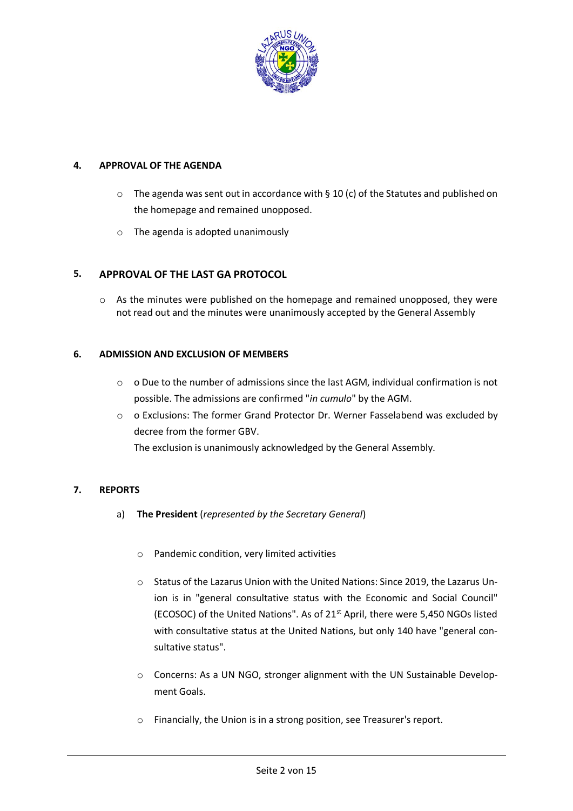

# **4. APPROVAL OF THE AGENDA**

- $\circ$  The agenda was sent out in accordance with § 10 (c) of the Statutes and published on the homepage and remained unopposed.
- o The agenda is adopted unanimously

# **5. APPROVAL OF THE LAST GA PROTOCOL**

 $\circ$  As the minutes were published on the homepage and remained unopposed, they were not read out and the minutes were unanimously accepted by the General Assembly

# **6. ADMISSION AND EXCLUSION OF MEMBERS**

- o o Due to the number of admissions since the last AGM, individual confirmation is not possible. The admissions are confirmed "*in cumulo*" by the AGM.
- o o Exclusions: The former Grand Protector Dr. Werner Fasselabend was excluded by decree from the former GBV. The exclusion is unanimously acknowledged by the General Assembly.

**7. REPORTS**

- a) **The President** (*represented by the Secretary General*)
	- o Pandemic condition, very limited activities
	- o Status of the Lazarus Union with the United Nations: Since 2019, the Lazarus Union is in "general consultative status with the Economic and Social Council" (ECOSOC) of the United Nations". As of 21st April, there were 5,450 NGOs listed with consultative status at the United Nations, but only 140 have "general consultative status".
	- o Concerns: As a UN NGO, stronger alignment with the UN Sustainable Development Goals.
	- o Financially, the Union is in a strong position, see Treasurer's report.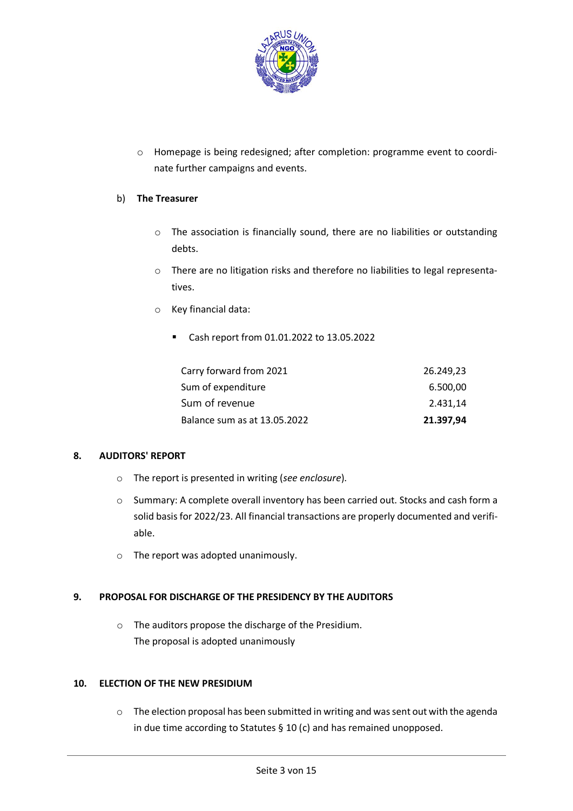

o Homepage is being redesigned; after completion: programme event to coordinate further campaigns and events.

# b) **The Treasurer**

- o The association is financially sound, there are no liabilities or outstanding debts.
- o There are no litigation risks and therefore no liabilities to legal representatives.
- o Key financial data:
	- Cash report from 01.01.2022 to 13.05.2022

| Carry forward from 2021      | 26.249,23 |
|------------------------------|-----------|
| Sum of expenditure           | 6.500,00  |
| Sum of revenue               | 2.431.14  |
| Balance sum as at 13.05.2022 | 21.397,94 |

# **8. AUDITORS' REPORT**

- o The report is presented in writing (*see enclosure*).
- o Summary: A complete overall inventory has been carried out. Stocks and cash form a solid basis for 2022/23. All financial transactions are properly documented and verifiable.
- o The report was adopted unanimously.

# **9. PROPOSAL FOR DISCHARGE OF THE PRESIDENCY BY THE AUDITORS**

o The auditors propose the discharge of the Presidium. The proposal is adopted unanimously

### **10. ELECTION OF THE NEW PRESIDIUM**

o The election proposal has been submitted in writing and was sent out with the agenda in due time according to Statutes § 10 (c) and has remained unopposed.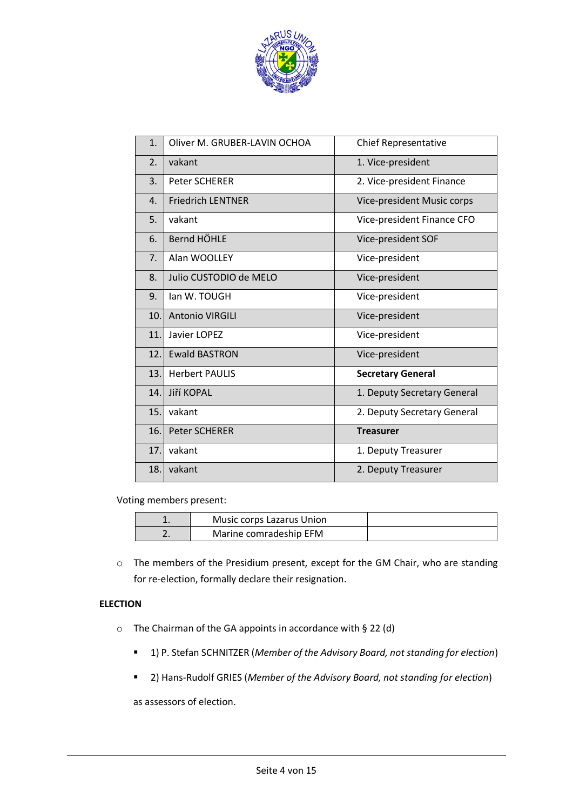

| 1.               | Oliver M. GRUBER-LAVIN OCHOA | <b>Chief Representative</b> |
|------------------|------------------------------|-----------------------------|
| 2.               | vakant                       | 1. Vice-president           |
| 3.               | <b>Peter SCHERER</b>         | 2. Vice-president Finance   |
| $\overline{4}$ . | <b>Friedrich LENTNER</b>     | Vice-president Music corps  |
| 5.               | vakant                       | Vice-president Finance CFO  |
| 6.               | Bernd HÖHLE                  | Vice-president SOF          |
| 7.               | Alan WOOLLEY                 | Vice-president              |
| 8.               | Julio CUSTODIO de MELO       | Vice-president              |
| 9.               | lan W. TOUGH                 | Vice-president              |
| 10.              | <b>Antonio VIRGILI</b>       | Vice-president              |
| 11.              | Javier LOPEZ                 | Vice-president              |
| 12.              | <b>Ewald BASTRON</b>         | Vice-president              |
| 13.              | <b>Herbert PAULIS</b>        | <b>Secretary General</b>    |
| 14.              | Jiří KOPAL                   | 1. Deputy Secretary General |
| 15.              | vakant                       | 2. Deputy Secretary General |
| 16.              | <b>Peter SCHERER</b>         | <b>Treasurer</b>            |
| 17.              | vakant                       | 1. Deputy Treasurer         |
| 18.              | vakant                       | 2. Deputy Treasurer         |

Voting members present:

| Music corps Lazarus Union |  |
|---------------------------|--|
| Marine comradeship EFM    |  |

o The members of the Presidium present, except for the GM Chair, who are standing for re-election, formally declare their resignation.

# **ELECTION**

- $\circ$  The Chairman of the GA appoints in accordance with § 22 (d)
	- 1) P. Stefan SCHNITZER (*Member of the Advisory Board, not standing for election*)
	- 2) Hans-Rudolf GRIES (*Member of the Advisory Board, not standing for election*)

as assessors of election.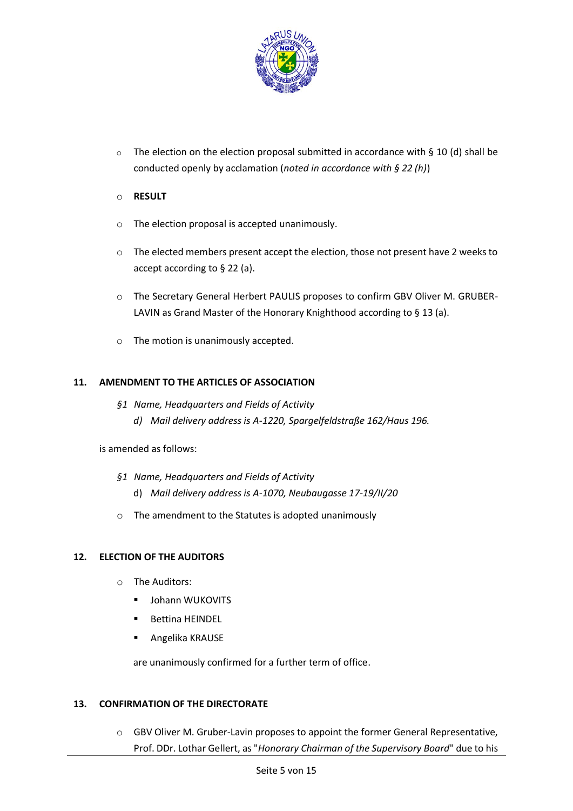

 $\circ$  The election on the election proposal submitted in accordance with § 10 (d) shall be conducted openly by acclamation (*noted in accordance with § 22 (h)*)

# o **RESULT**

- o The election proposal is accepted unanimously.
- o The elected members present accept the election, those not present have 2 weeks to accept according to § 22 (a).
- o The Secretary General Herbert PAULIS proposes to confirm GBV Oliver M. GRUBER-LAVIN as Grand Master of the Honorary Knighthood according to § 13 (a).
- o The motion is unanimously accepted.

# **11. AMENDMENT TO THE ARTICLES OF ASSOCIATION**

- *§1 Name, Headquarters and Fields of Activity*
	- *d) Mail delivery address is A-1220, Spargelfeldstraße 162/Haus 196.*

is amended as follows:

- *§1 Name, Headquarters and Fields of Activity*
	- d) *Mail delivery address is A-1070, Neubaugasse 17-19/II/20*
- o The amendment to the Statutes is adopted unanimously

# **12. ELECTION OF THE AUDITORS**

- o The Auditors:
	- **■** Johann WUKOVITS
	- **Bettina HEINDEL**
	- Angelika KRAUSE

are unanimously confirmed for a further term of office.

# **13. CONFIRMATION OF THE DIRECTORATE**

 $\circ$  GBV Oliver M. Gruber-Lavin proposes to appoint the former General Representative, Prof. DDr. Lothar Gellert, as "*Honorary Chairman of the Supervisory Board*" due to his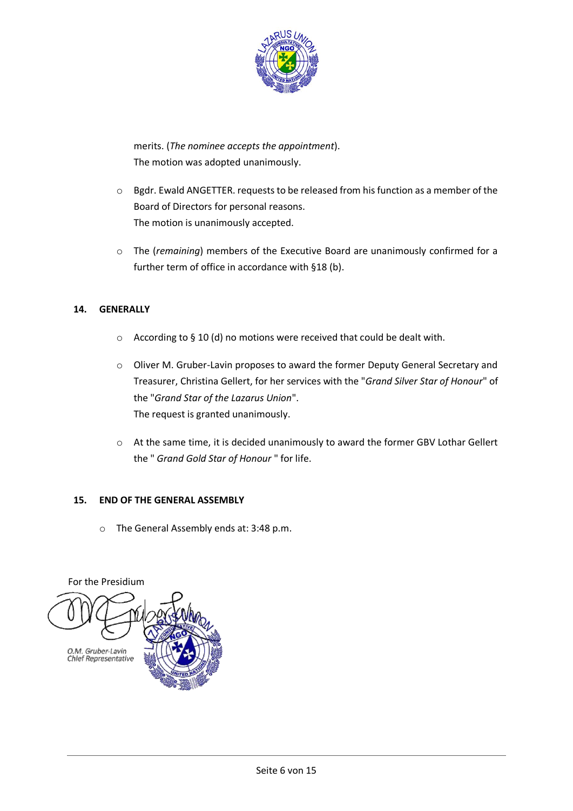

merits. (*The nominee accepts the appointment*). The motion was adopted unanimously.

- o Bgdr. Ewald ANGETTER. requests to be released from his function as a member of the Board of Directors for personal reasons. The motion is unanimously accepted.
- o The (*remaining*) members of the Executive Board are unanimously confirmed for a further term of office in accordance with §18 (b).

# **14. GENERALLY**

- o According to § 10 (d) no motions were received that could be dealt with.
- $\circ$  Oliver M. Gruber-Lavin proposes to award the former Deputy General Secretary and Treasurer, Christina Gellert, for her services with the "*Grand Silver Star of Honour*" of the "*Grand Star of the Lazarus Union*". The request is granted unanimously.
- o At the same time, it is decided unanimously to award the former GBV Lothar Gellert the " *Grand Gold Star of Honour* " for life.

# **15. END OF THE GENERAL ASSEMBLY**

o The General Assembly ends at: 3:48 p.m.

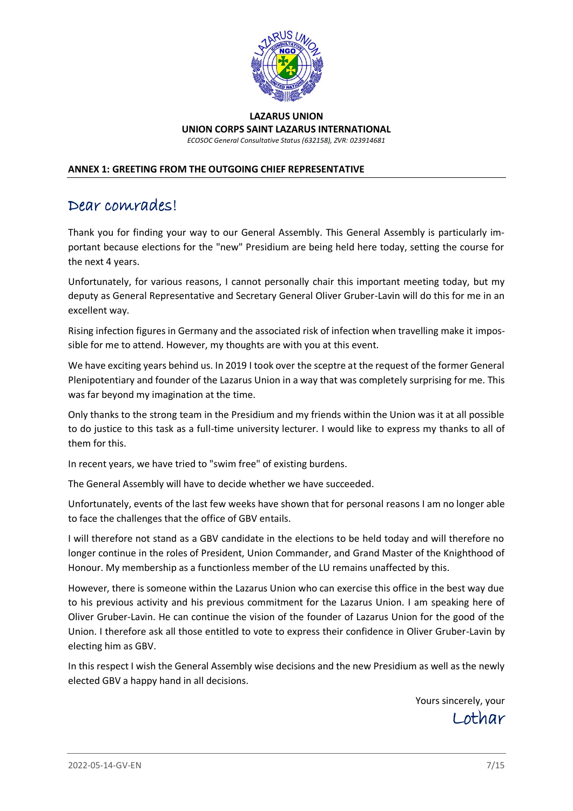

#### **LAZARUS UNION UNION CORPS SAINT LAZARUS INTERNATIONAL** *ECOSOC General Consultative Status (632158), ZVR: 023914681*

# **ANNEX 1: GREETING FROM THE OUTGOING CHIEF REPRESENTATIVE**

# Dear comrades!

Thank you for finding your way to our General Assembly. This General Assembly is particularly important because elections for the "new" Presidium are being held here today, setting the course for the next 4 years.

Unfortunately, for various reasons, I cannot personally chair this important meeting today, but my deputy as General Representative and Secretary General Oliver Gruber-Lavin will do this for me in an excellent way.

Rising infection figures in Germany and the associated risk of infection when travelling make it impossible for me to attend. However, my thoughts are with you at this event.

We have exciting years behind us. In 2019 I took over the sceptre at the request of the former General Plenipotentiary and founder of the Lazarus Union in a way that was completely surprising for me. This was far beyond my imagination at the time.

Only thanks to the strong team in the Presidium and my friends within the Union was it at all possible to do justice to this task as a full-time university lecturer. I would like to express my thanks to all of them for this.

In recent years, we have tried to "swim free" of existing burdens.

The General Assembly will have to decide whether we have succeeded.

Unfortunately, events of the last few weeks have shown that for personal reasons I am no longer able to face the challenges that the office of GBV entails.

I will therefore not stand as a GBV candidate in the elections to be held today and will therefore no longer continue in the roles of President, Union Commander, and Grand Master of the Knighthood of Honour. My membership as a functionless member of the LU remains unaffected by this.

However, there is someone within the Lazarus Union who can exercise this office in the best way due to his previous activity and his previous commitment for the Lazarus Union. I am speaking here of Oliver Gruber-Lavin. He can continue the vision of the founder of Lazarus Union for the good of the Union. I therefore ask all those entitled to vote to express their confidence in Oliver Gruber-Lavin by electing him as GBV.

In this respect I wish the General Assembly wise decisions and the new Presidium as well as the newly elected GBV a happy hand in all decisions.

> Yours sincerely, your Lothar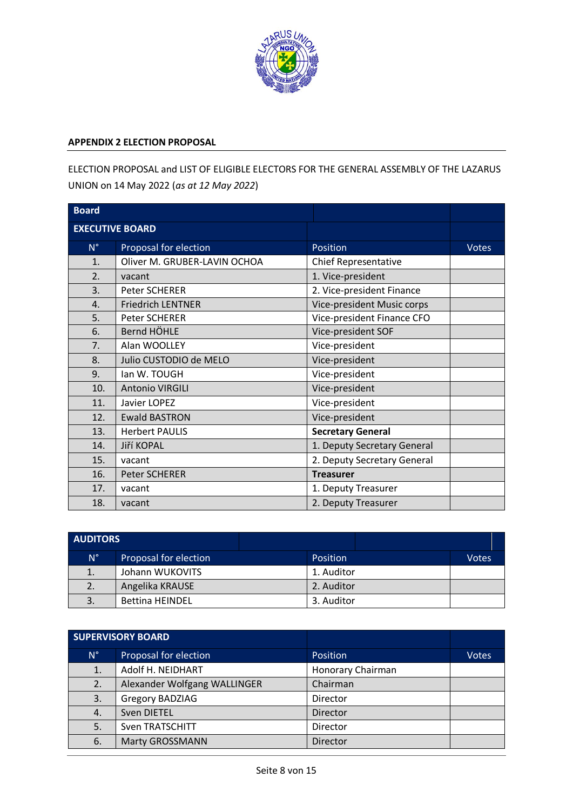

#### **APPENDIX 2 ELECTION PROPOSAL**

ELECTION PROPOSAL and LIST OF ELIGIBLE ELECTORS FOR THE GENERAL ASSEMBLY OF THE LAZARUS UNION on 14 May 2022 (*as at 12 May 2022*)

| <b>Board</b>           |                              |                             |              |
|------------------------|------------------------------|-----------------------------|--------------|
| <b>EXECUTIVE BOARD</b> |                              |                             |              |
| $N^{\circ}$            | Proposal for election        | Position                    | <b>Votes</b> |
| 1.                     | Oliver M. GRUBER-LAVIN OCHOA | Chief Representative        |              |
| 2.                     | vacant                       | 1. Vice-president           |              |
| 3.                     | Peter SCHERER                | 2. Vice-president Finance   |              |
| 4.                     | <b>Friedrich LENTNER</b>     | Vice-president Music corps  |              |
| 5.                     | Peter SCHERER                | Vice-president Finance CFO  |              |
| 6.                     | Bernd HÖHLE                  | Vice-president SOF          |              |
| 7.                     | Alan WOOLLEY                 | Vice-president              |              |
| 8.                     | Julio CUSTODIO de MELO       | Vice-president              |              |
| 9.                     | lan W. TOUGH                 | Vice-president              |              |
| 10.                    | Antonio VIRGILI              | Vice-president              |              |
| 11.                    | Javier LOPEZ                 | Vice-president              |              |
| 12.                    | <b>Ewald BASTRON</b>         | Vice-president              |              |
| 13.                    | <b>Herbert PAULIS</b>        | <b>Secretary General</b>    |              |
| 14.                    | Jiří KOPAL                   | 1. Deputy Secretary General |              |
| 15.                    | vacant                       | 2. Deputy Secretary General |              |
| 16.                    | <b>Peter SCHERER</b>         | <b>Treasurer</b>            |              |
| 17.                    | vacant                       | 1. Deputy Treasurer         |              |
| 18.                    | vacant                       | 2. Deputy Treasurer         |              |

| <b>AUDITORS</b> |                        |            |              |
|-----------------|------------------------|------------|--------------|
| $N^{\circ}$     | Proposal for election  | Position   | <b>Votes</b> |
| 1.              | Johann WUKOVITS        | 1. Auditor |              |
| 2.              | Angelika KRAUSE        | 2. Auditor |              |
| 3.              | <b>Bettina HEINDEL</b> | 3. Auditor |              |

| <b>SUPERVISORY BOARD</b> |                              |                   |              |
|--------------------------|------------------------------|-------------------|--------------|
| $N^{\circ}$              | Proposal for election        | Position          | <b>Votes</b> |
| 1.                       | Adolf H. NEIDHART            | Honorary Chairman |              |
| 2.                       | Alexander Wolfgang WALLINGER | Chairman          |              |
| 3.                       | Gregory BADZIAG              | Director          |              |
| $\overline{4}$ .         | Sven DIETEL                  | Director          |              |
| 5.                       | <b>Sven TRATSCHITT</b>       | Director          |              |
| 6.                       | <b>Marty GROSSMANN</b>       | Director          |              |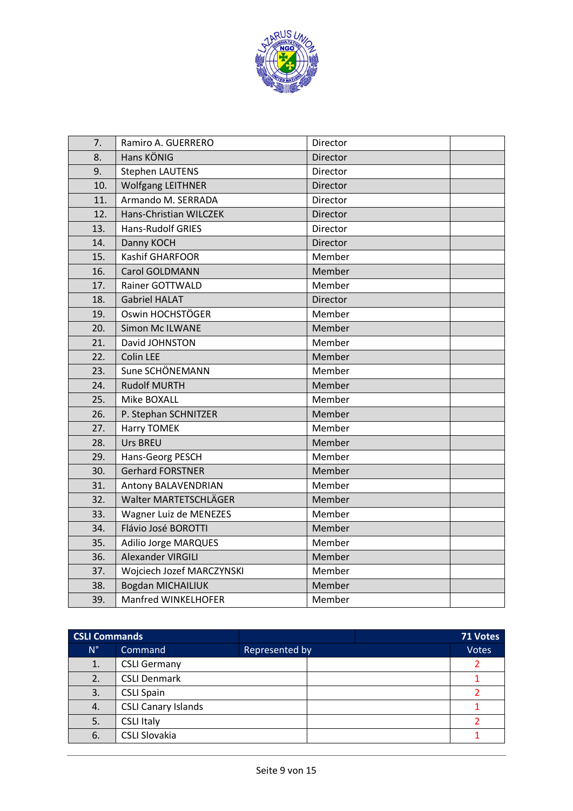

| $\overline{7}$ . | Ramiro A. GUERRERO        | Director |  |
|------------------|---------------------------|----------|--|
| 8.               | Hans KÖNIG                | Director |  |
| 9.               | <b>Stephen LAUTENS</b>    | Director |  |
| 10.              | <b>Wolfgang LEITHNER</b>  | Director |  |
| 11.              | Armando M. SERRADA        | Director |  |
| 12.              | Hans-Christian WILCZEK    | Director |  |
| 13.              | <b>Hans-Rudolf GRIES</b>  | Director |  |
| 14.              | Danny KOCH                | Director |  |
| 15.              | Kashif GHARFOOR           | Member   |  |
| 16.              | Carol GOLDMANN            | Member   |  |
| 17.              | <b>Rainer GOTTWALD</b>    | Member   |  |
| 18.              | <b>Gabriel HALAT</b>      | Director |  |
| 19.              | Oswin HOCHSTÖGER          | Member   |  |
| 20.              | <b>Simon Mc ILWANE</b>    | Member   |  |
| 21.              | David JOHNSTON            | Member   |  |
| 22.              | <b>Colin LEE</b>          | Member   |  |
| 23.              | Sune SCHÖNEMANN           | Member   |  |
| 24.              | <b>Rudolf MURTH</b>       | Member   |  |
| 25.              | Mike BOXALL               | Member   |  |
| 26.              | P. Stephan SCHNITZER      | Member   |  |
| 27.              | Harry TOMEK               | Member   |  |
| 28.              | Urs BREU                  | Member   |  |
| 29.              | Hans-Georg PESCH          | Member   |  |
| 30.              | <b>Gerhard FORSTNER</b>   | Member   |  |
| 31.              | Antony BALAVENDRIAN       | Member   |  |
| 32.              | Walter MARTETSCHLÄGER     | Member   |  |
| 33.              | Wagner Luiz de MENEZES    | Member   |  |
| 34.              | Flávio José BOROTTI       | Member   |  |
| 35.              | Adilio Jorge MARQUES      | Member   |  |
| 36.              | Alexander VIRGILI         | Member   |  |
| 37.              | Wojciech Jozef MARCZYNSKI | Member   |  |
| 38.              | Bogdan MICHAILIUK         | Member   |  |
| 39.              | Manfred WINKELHOFER       | Member   |  |

| <b>CSLI Commands</b> |                            |                |  | 71 Votes     |
|----------------------|----------------------------|----------------|--|--------------|
| $N^{\circ}$          | Command                    | Represented by |  | <b>Votes</b> |
| 1.                   | <b>CSLI Germany</b>        |                |  |              |
| 2.                   | <b>CSLI Denmark</b>        |                |  |              |
| 3.                   | <b>CSLI Spain</b>          |                |  |              |
| 4.                   | <b>CSLI Canary Islands</b> |                |  |              |
| 5.                   | <b>CSLI Italy</b>          |                |  |              |
| 6.                   | <b>CSLI Slovakia</b>       |                |  |              |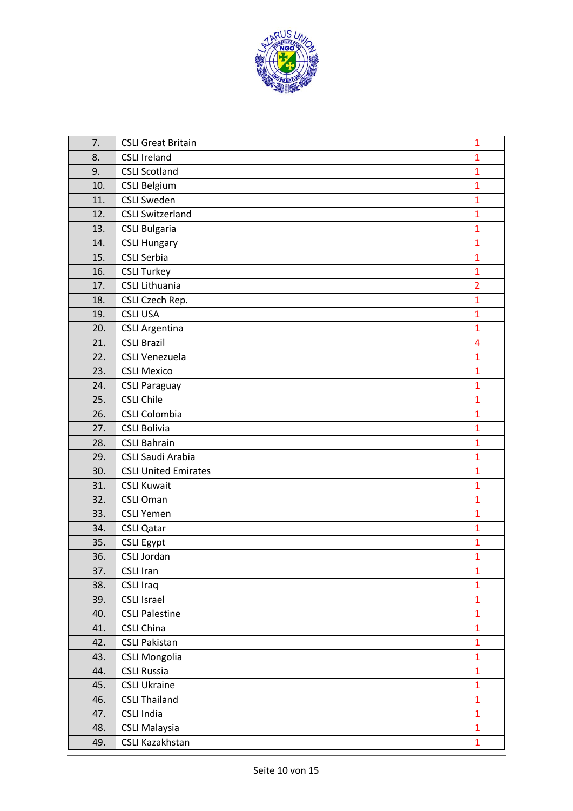

| 7.  | <b>CSLI Great Britain</b>   | $\mathbf{1}$   |
|-----|-----------------------------|----------------|
| 8.  | <b>CSLI Ireland</b>         | $\mathbf{1}$   |
| 9.  | <b>CSLI Scotland</b>        | $\mathbf{1}$   |
| 10. | <b>CSLI Belgium</b>         | $\mathbf{1}$   |
| 11. | <b>CSLI Sweden</b>          | $\mathbf{1}$   |
| 12. | <b>CSLI Switzerland</b>     | $\mathbf{1}$   |
| 13. | <b>CSLI Bulgaria</b>        | $\mathbf{1}$   |
| 14. | <b>CSLI Hungary</b>         | $\mathbf{1}$   |
| 15. | <b>CSLI Serbia</b>          | $\mathbf{1}$   |
| 16. | <b>CSLI Turkey</b>          | $\mathbf{1}$   |
| 17. | <b>CSLI Lithuania</b>       | $\overline{2}$ |
| 18. | CSLI Czech Rep.             | $\mathbf{1}$   |
| 19. | <b>CSLI USA</b>             | $\mathbf{1}$   |
| 20. | <b>CSLI Argentina</b>       | $\mathbf{1}$   |
| 21. | <b>CSLI Brazil</b>          | 4              |
| 22. | <b>CSLI Venezuela</b>       | $\mathbf{1}$   |
| 23. | <b>CSLI Mexico</b>          | $\mathbf{1}$   |
| 24. | <b>CSLI Paraguay</b>        | $\mathbf{1}$   |
| 25. | <b>CSLI Chile</b>           | $\mathbf{1}$   |
| 26. | <b>CSLI Colombia</b>        | $\mathbf{1}$   |
| 27. | <b>CSLI Bolivia</b>         | $\mathbf{1}$   |
| 28. | <b>CSLI Bahrain</b>         | $\mathbf{1}$   |
| 29. | CSLI Saudi Arabia           | $\mathbf{1}$   |
| 30. | <b>CSLI United Emirates</b> | $\mathbf{1}$   |
| 31. | <b>CSLI Kuwait</b>          | $\mathbf{1}$   |
| 32. | <b>CSLI Oman</b>            | $\mathbf{1}$   |
| 33. | <b>CSLI Yemen</b>           | $\mathbf{1}$   |
| 34. | <b>CSLI Qatar</b>           | $\mathbf{1}$   |
| 35. | <b>CSLI Egypt</b>           | $\mathbf{1}$   |
| 36. | <b>CSLI Jordan</b>          | $\mathbf{1}$   |
| 37. | <b>CSLI Iran</b>            | $\mathbf{1}$   |
| 38. | <b>CSLI Iraq</b>            | $\mathbf{1}$   |
| 39. | <b>CSLI Israel</b>          | $\mathbf{1}$   |
| 40. | <b>CSLI Palestine</b>       | $\mathbf{1}$   |
| 41. | <b>CSLI China</b>           | $\mathbf{1}$   |
| 42. | <b>CSLI Pakistan</b>        | $\mathbf{1}$   |
| 43. | <b>CSLI Mongolia</b>        | $\mathbf{1}$   |
| 44. | <b>CSLI Russia</b>          | $\mathbf{1}$   |
| 45. | <b>CSLI Ukraine</b>         | $\mathbf{1}$   |
| 46. | <b>CSLI Thailand</b>        | $\mathbf{1}$   |
| 47. | <b>CSLI India</b>           | $\mathbf{1}$   |
| 48. | <b>CSLI Malaysia</b>        | $\mathbf{1}$   |
| 49. | CSLI Kazakhstan             | $\mathbf{1}$   |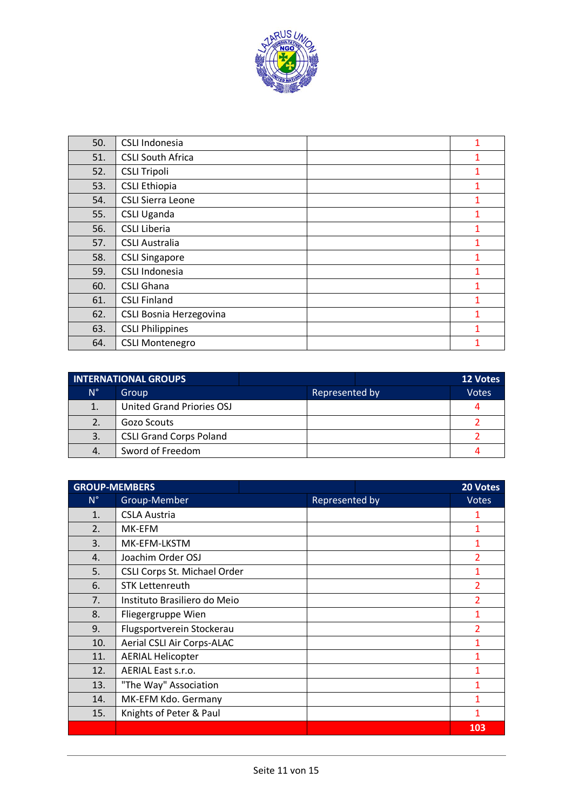

| 50. | CSLI Indonesia                 | 1            |
|-----|--------------------------------|--------------|
| 51. | <b>CSLI South Africa</b>       |              |
| 52. | <b>CSLI Tripoli</b>            |              |
| 53. | <b>CSLI Ethiopia</b>           |              |
| 54. | <b>CSLI Sierra Leone</b>       |              |
| 55. | <b>CSLI Uganda</b>             | 1            |
| 56. | <b>CSLI Liberia</b>            |              |
| 57. | <b>CSLI Australia</b>          | 1            |
| 58. | <b>CSLI Singapore</b>          | 1            |
| 59. | CSLI Indonesia                 |              |
| 60. | <b>CSLI Ghana</b>              | $\mathbf{1}$ |
| 61. | <b>CSLI Finland</b>            | 1            |
| 62. | <b>CSLI Bosnia Herzegovina</b> | 1            |
| 63. | <b>CSLI Philippines</b>        | 1            |
| 64. | <b>CSLI Montenegro</b>         |              |

|             | <b>INTERNATIONAL GROUPS</b>    |                | 12 Votes     |
|-------------|--------------------------------|----------------|--------------|
| $N^{\circ}$ | Group                          | Represented by | <b>Votes</b> |
| 1.          | United Grand Priories OSJ      |                |              |
| 2.          | Gozo Scouts                    |                |              |
| 3.          | <b>CSLI Grand Corps Poland</b> |                |              |
| 4.          | Sword of Freedom               |                |              |

| <b>GROUP-MEMBERS</b> |                              |                | 20 Votes       |
|----------------------|------------------------------|----------------|----------------|
| $N^{\circ}$          | Group-Member                 | Represented by | <b>Votes</b>   |
| 1.                   | <b>CSLA Austria</b>          |                | 1              |
| 2.                   | MK-EFM                       |                |                |
| 3.                   | MK-EFM-LKSTM                 |                | $\mathbf{1}$   |
| 4.                   | Joachim Order OSJ            |                | $\overline{2}$ |
| 5.                   | CSLI Corps St. Michael Order |                | $\mathbf{1}$   |
| 6.                   | <b>STK Lettenreuth</b>       |                | $\overline{2}$ |
| 7.                   | Instituto Brasiliero do Meio |                | $\overline{2}$ |
| 8.                   | Fliegergruppe Wien           |                | 1              |
| 9.                   | Flugsportverein Stockerau    |                | 2              |
| 10.                  | Aerial CSLI Air Corps-ALAC   |                |                |
| 11.                  | <b>AERIAL Helicopter</b>     |                |                |
| 12.                  | AERIAL East s.r.o.           |                |                |
| 13.                  | "The Way" Association        |                | 1              |
| 14.                  | MK-EFM Kdo. Germany          |                | 1              |
| 15.                  | Knights of Peter & Paul      |                | 1              |
|                      |                              |                | 103            |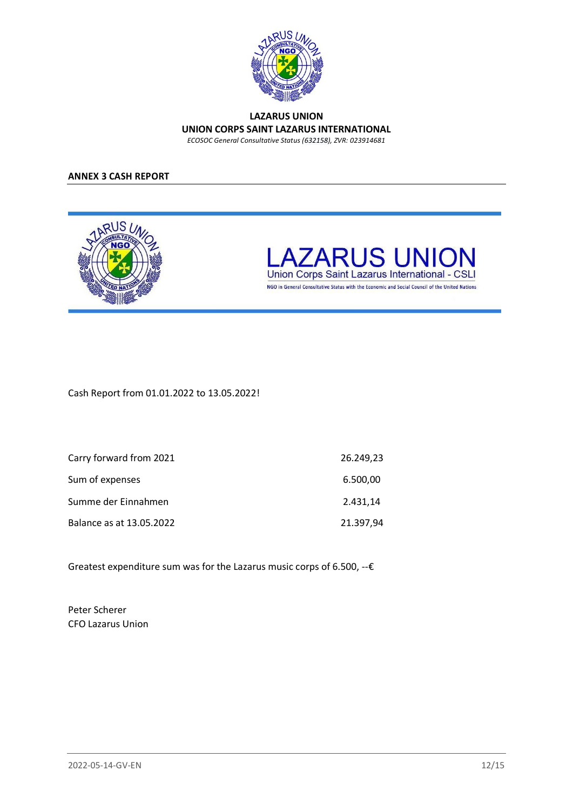

#### **LAZARUS UNION UNION CORPS SAINT LAZARUS INTERNATIONAL** *ECOSOC General Consultative Status (632158), ZVR: 023914681*

### **ANNEX 3 CASH REPORT**





NGO in General Consultative Status with the Economic and Social Council of the United Nations

Cash Report from 01.01.2022 to 13.05.2022!

| Carry forward from 2021  | 26.249,23 |
|--------------------------|-----------|
| Sum of expenses          | 6.500,00  |
| Summe der Einnahmen      | 2.431.14  |
| Balance as at 13.05.2022 | 21.397,94 |

Greatest expenditure sum was for the Lazarus music corps of 6.500, --€

Peter Scherer CFO Lazarus Union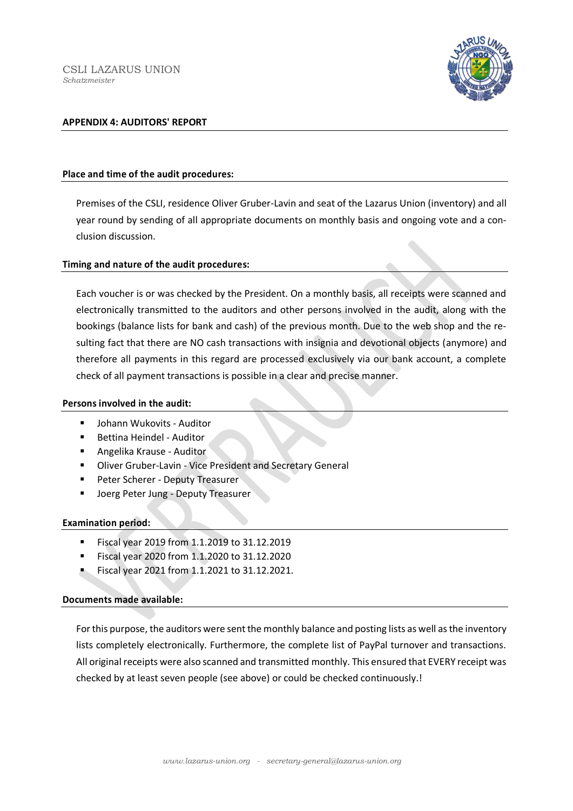

#### **APPENDIX 4: AUDITORS' REPORT**

#### **Place and time of the audit procedures:**

Premises of the CSLI, residence Oliver Gruber-Lavin and seat of the Lazarus Union (inventory) and all year round by sending of all appropriate documents on monthly basis and ongoing vote and a conclusion discussion.

#### **Timing and nature of the audit procedures:**

Each voucher is or was checked by the President. On a monthly basis, all receipts were scanned and electronically transmitted to the auditors and other persons involved in the audit, along with the bookings (balance lists for bank and cash) of the previous month. Due to the web shop and the resulting fact that there are NO cash transactions with insignia and devotional objects (anymore) and therefore all payments in this regard are processed exclusively via our bank account, a complete check of all payment transactions is possible in a clear and precise manner.

#### **Persons involved in the audit:**

- Johann Wukovits Auditor
- Bettina Heindel Auditor
- Angelika Krause Auditor
- Oliver Gruber-Lavin Vice President and Secretary General
- Peter Scherer Deputy Treasurer
- Joerg Peter Jung Deputy Treasurer

#### **Examination period:**

- Fiscal year 2019 from 1.1.2019 to 31.12.2019
- Fiscal year 2020 from 1.1.2020 to 31.12.2020
- Fiscal year 2021 from 1.1.2021 to 31.12.2021.

#### **Documents made available:**

For this purpose, the auditors were sent the monthly balance and posting lists as well as the inventory lists completely electronically. Furthermore, the complete list of PayPal turnover and transactions. All original receipts were also scanned and transmitted monthly. This ensured that EVERY receipt was checked by at least seven people (see above) or could be checked continuously.!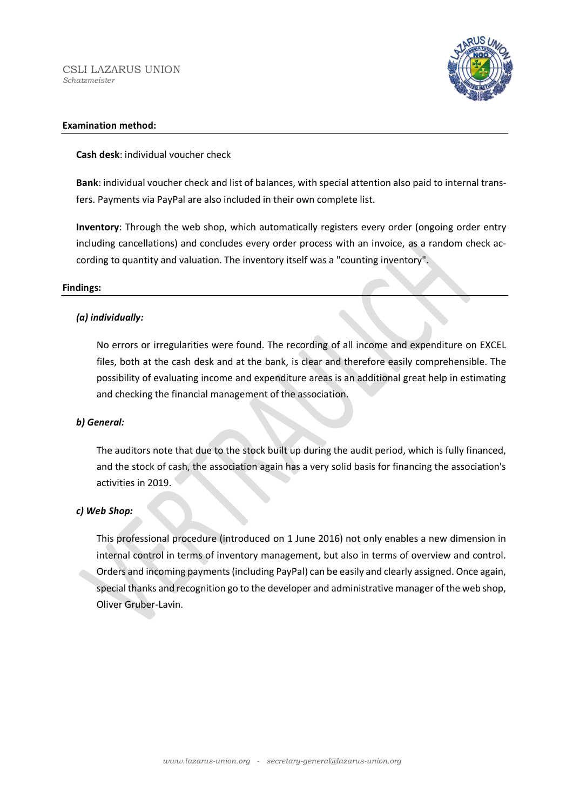CSLI LAZARUS UNION *Schatzmeister*



#### **Examination method:**

**Cash desk**: individual voucher check

**Bank**: individual voucher check and list of balances, with special attention also paid to internal transfers. Payments via PayPal are also included in their own complete list.

**Inventory**: Through the web shop, which automatically registers every order (ongoing order entry including cancellations) and concludes every order process with an invoice, as a random check according to quantity and valuation. The inventory itself was a "counting inventory".

#### **Findings:**

#### *(a) individually:*

No errors or irregularities were found. The recording of all income and expenditure on EXCEL files, both at the cash desk and at the bank, is clear and therefore easily comprehensible. The possibility of evaluating income and expenditure areas is an additional great help in estimating and checking the financial management of the association.

#### *b) General:*

The auditors note that due to the stock built up during the audit period, which is fully financed, and the stock of cash, the association again has a very solid basis for financing the association's activities in 2019.

#### *c) Web Shop:*

This professional procedure (introduced on 1 June 2016) not only enables a new dimension in internal control in terms of inventory management, but also in terms of overview and control. Orders and incoming payments (including PayPal) can be easily and clearly assigned. Once again, special thanks and recognition go to the developer and administrative manager of the web shop, Oliver Gruber-Lavin.